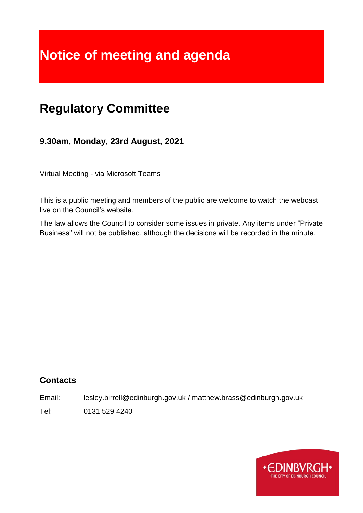# **Notice of meeting and agenda**

# **Regulatory Committee**

**9.30am, Monday, 23rd August, 2021**

Virtual Meeting - via Microsoft Teams

This is a public meeting and members of the public are welcome to watch the webcast live on the Council's website.

The law allows the Council to consider some issues in private. Any items under "Private Business" will not be published, although the decisions will be recorded in the minute.

# **Contacts**

Email: lesley.birrell@edinburgh.gov.uk / matthew.brass@edinburgh.gov.uk

Tel: 0131 529 4240

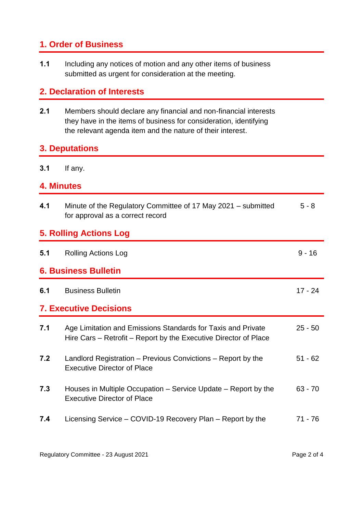# **1. Order of Business**

**1.1** Including any notices of motion and any other items of business submitted as urgent for consideration at the meeting.

# **2. Declaration of Interests**

**2.1** Members should declare any financial and non-financial interests they have in the items of business for consideration, identifying the relevant agenda item and the nature of their interest.

#### **3. Deputations**

**3.1** If any.

## **4. Minutes**

| 4.1                           | Minute of the Regulatory Committee of 17 May 2021 – submitted<br>for approval as a correct record                                | $5 - 8$   |
|-------------------------------|----------------------------------------------------------------------------------------------------------------------------------|-----------|
| <b>5. Rolling Actions Log</b> |                                                                                                                                  |           |
| 5.1                           | <b>Rolling Actions Log</b>                                                                                                       | $9 - 16$  |
| <b>6. Business Bulletin</b>   |                                                                                                                                  |           |
| 6.1                           | <b>Business Bulletin</b>                                                                                                         | $17 - 24$ |
| <b>7. Executive Decisions</b> |                                                                                                                                  |           |
| 7.1                           | Age Limitation and Emissions Standards for Taxis and Private<br>Hire Cars – Retrofit – Report by the Executive Director of Place | $25 - 50$ |
| 7.2                           | Landlord Registration – Previous Convictions – Report by the<br><b>Executive Director of Place</b>                               | $51 - 62$ |
| 7.3                           | Houses in Multiple Occupation – Service Update – Report by the<br><b>Executive Director of Place</b>                             | $63 - 70$ |
| 7.4                           | Licensing Service – COVID-19 Recovery Plan – Report by the                                                                       | $71 - 76$ |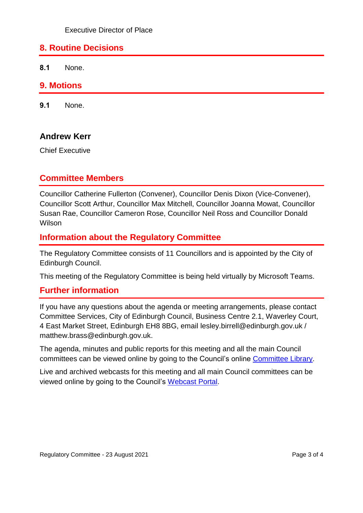# **8. Routine Decisions**

**8.1** None.

#### **9. Motions**

**9.1** None.

#### **Andrew Kerr**

Chief Executive

## **Committee Members**

Councillor Catherine Fullerton (Convener), Councillor Denis Dixon (Vice-Convener), Councillor Scott Arthur, Councillor Max Mitchell, Councillor Joanna Mowat, Councillor Susan Rae, Councillor Cameron Rose, Councillor Neil Ross and Councillor Donald Wilson

# **Information about the Regulatory Committee**

The Regulatory Committee consists of 11 Councillors and is appointed by the City of Edinburgh Council.

This meeting of the Regulatory Committee is being held virtually by Microsoft Teams.

#### **Further information**

If you have any questions about the agenda or meeting arrangements, please contact Committee Services, City of Edinburgh Council, Business Centre 2.1, Waverley Court, 4 East Market Street, Edinburgh EH8 8BG, email lesley.birrell@edinburgh.gov.uk / matthew.brass@edinburgh.gov.uk.

The agenda, minutes and public reports for this meeting and all the main Council committees can be viewed online by going to the Council's online [Committee Library.](https://democracy.edinburgh.gov.uk/ieDocHome.aspx?bcr=1)

Live and archived webcasts for this meeting and all main Council committees can be viewed online by going to the Council's [Webcast Portal.](https://edinburgh.public-i.tv/core/portal/home)